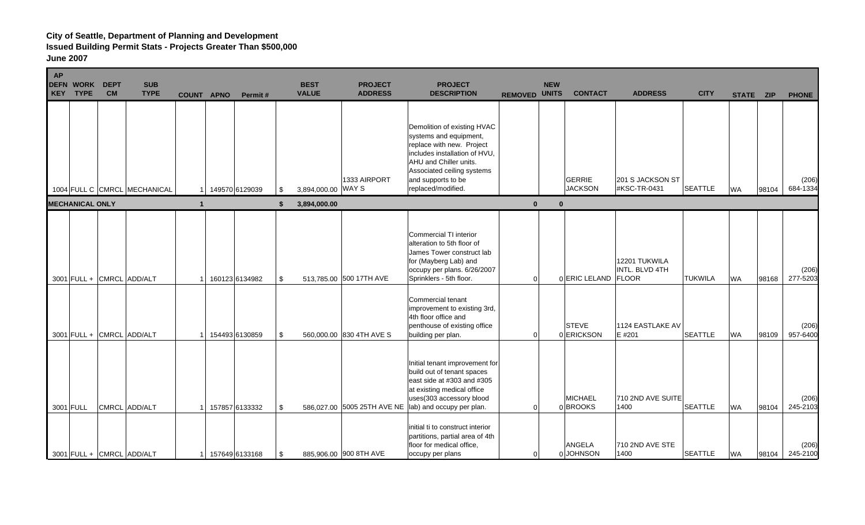| <b>AP</b> | <b>DEFN WORK</b><br>KEY TYPE | <b>DEPT</b><br><b>CM</b> | <b>SUB</b><br><b>TYPE</b>                  | <b>COUNT APNO</b> | Permit#                          |          | <b>BEST</b><br><b>VALUE</b> | <b>PROJECT</b><br><b>ADDRESS</b>                        | <b>PROJECT</b><br><b>DESCRIPTION</b>                                                                                                                                                                                                                                              | <b>REMOVED UNITS</b> | <b>NEW</b> | <b>CONTACT</b>                          | <b>ADDRESS</b>                                                      | <b>CITY</b>                      | STATE ZIP              |                | <b>PHONE</b>                  |
|-----------|------------------------------|--------------------------|--------------------------------------------|-------------------|----------------------------------|----------|-----------------------------|---------------------------------------------------------|-----------------------------------------------------------------------------------------------------------------------------------------------------------------------------------------------------------------------------------------------------------------------------------|----------------------|------------|-----------------------------------------|---------------------------------------------------------------------|----------------------------------|------------------------|----------------|-------------------------------|
|           |                              |                          | 1004 FULL C CMRCL MECHANICAL               |                   | 149570 6129039                   | -\$      | 3,894,000.00                | 1333 AIRPORT<br><b>WAYS</b>                             | Demolition of existing HVAC<br>systems and equipment,<br>replace with new. Project<br>includes installation of HVU,<br>AHU and Chiller units.<br>Associated ceiling systems<br>and supports to be<br>replaced/modified.                                                           |                      |            | GERRIE<br><b>JACKSON</b>                | 201 S JACKSON ST<br>#KSC-TR-0431                                    | <b>SEATTLE</b>                   | <b>WA</b>              | 98104          | (206)<br>684-1334             |
|           | <b>MECHANICAL ONLY</b>       |                          |                                            |                   |                                  | - 5      | 3,894,000.00                |                                                         |                                                                                                                                                                                                                                                                                   | $\bf{0}$             | $\bf{0}$   |                                         |                                                                     |                                  |                        |                |                               |
|           |                              |                          | 3001 FULL + CMRCL ADD/ALT                  |                   | 160123 6134982                   | -\$      |                             | 513,785.00 500 17TH AVE                                 | Commercial TI interior<br>alteration to 5th floor of<br>James Tower construct lab<br>for (Mayberg Lab) and<br>occupy per plans. 6/26/2007<br>Sprinklers - 5th floor.<br>Commercial tenant<br>improvement to existing 3rd,<br>4th floor office and<br>penthouse of existing office | $\Omega$             |            | 0 ERIC LELAND<br><b>STEVE</b>           | 12201 TUKWILA<br>INTL. BLVD 4TH<br><b>FLOOR</b><br>1124 EASTLAKE AV | <b>TUKWILA</b>                   | <b>WA</b>              | 98168          | (206)<br>277-5203<br>(206)    |
|           | 3001 FULL                    |                          | 3001 FULL + CMRCL ADD/ALT<br>CMRCL ADD/ALT |                   | 154493 6130859<br>157857 6133332 | \$<br>\$ |                             | 560,000.00 830 4TH AVE S<br>586,027.00 5005 25TH AVE NE | building per plan.<br>Initial tenant improvement for<br>build out of tenant spaces<br>east side at #303 and #305<br>at existing medical office<br>uses(303 accessory blood<br>lab) and occupy per plan.                                                                           | $\Omega$<br>$\Omega$ |            | 0 ERICKSON<br><b>MICHAEL</b><br>0BROOKS | E #201<br>710 2ND AVE SUITE<br>1400                                 | <b>SEATTLE</b><br><b>SEATTLE</b> | <b>WA</b><br><b>WA</b> | 98109<br>98104 | 957-6400<br>(206)<br>245-2103 |
|           |                              |                          | 3001 FULL + CMRCL ADD/ALT                  |                   | 157649 6133168                   | \$.      |                             | 885,906.00 900 8TH AVE                                  | initial ti to construct interior<br>partitions, partial area of 4th<br>floor for medical office,<br>occupy per plans                                                                                                                                                              | $\Omega$             |            | ANGELA<br>0 JOHNSON                     | 710 2ND AVE STE<br>1400                                             | <b>SEATTLE</b>                   | <b>WA</b>              | 98104          | (206)<br>245-2100             |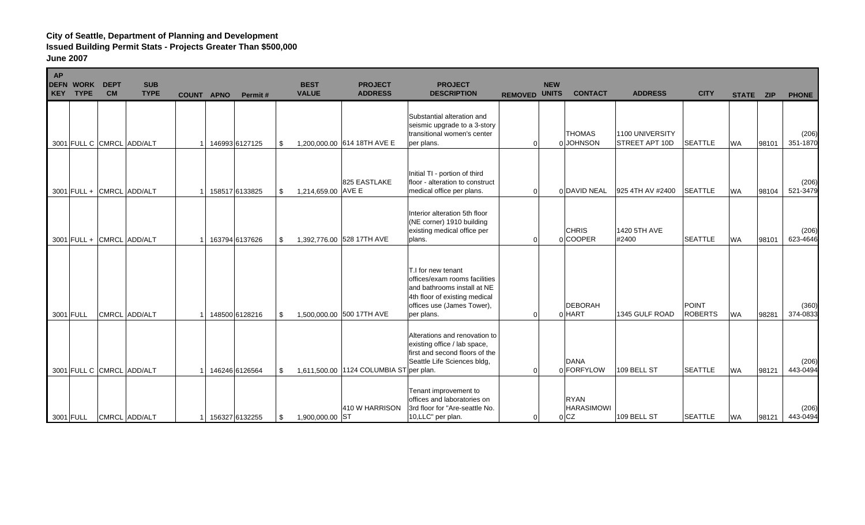| <b>AP</b><br><b>DEFN</b><br><b>KEY</b> | <b>WORK</b><br><b>TYPE</b> | <b>DEPT</b><br><b>CM</b> | <b>SUB</b><br><b>TYPE</b> | <b>COUNT APNO</b> | Permit#        |      | <b>BEST</b><br><b>VALUE</b> | <b>PROJECT</b><br><b>ADDRESS</b>        | <b>PROJECT</b><br><b>DESCRIPTION</b>                                                                                                                            | <b>REMOVED UNITS</b> | <b>NEW</b> | <b>CONTACT</b>                                     | <b>ADDRESS</b>                           | <b>CITY</b>                    | STATE ZIP |       | <b>PHONE</b>      |
|----------------------------------------|----------------------------|--------------------------|---------------------------|-------------------|----------------|------|-----------------------------|-----------------------------------------|-----------------------------------------------------------------------------------------------------------------------------------------------------------------|----------------------|------------|----------------------------------------------------|------------------------------------------|--------------------------------|-----------|-------|-------------------|
|                                        | 3001 FULL C CMRCL ADD/ALT  |                          |                           |                   | 146993 6127125 | \$   |                             | 1,200,000.00 614 18TH AVE E             | Substantial alteration and<br>seismic upgrade to a 3-story<br>transitional women's center<br>per plans.                                                         | $\Omega$             |            | <b>THOMAS</b><br>0 JOHNSON                         | 1100 UNIVERSITY<br><b>STREET APT 10D</b> | <b>SEATTLE</b>                 | <b>WA</b> | 98101 | (206)<br>351-1870 |
|                                        | 3001 FULL + CMRCL ADD/ALT  |                          |                           |                   | 158517 6133825 | \$   | 1,214,659.00 AVE E          | 825 EASTLAKE                            | Initial TI - portion of third<br>floor - alteration to construct<br>medical office per plans.                                                                   | $\Omega$             |            | 0 DAVID NEAL                                       | 925 4TH AV #2400                         | <b>SEATTLE</b>                 | <b>WA</b> | 98104 | (206)<br>521-3479 |
|                                        | 3001 FULL + CMRCL ADD/ALT  |                          |                           |                   | 163794 6137626 | \$   |                             | 1,392,776.00 528 17TH AVE               | Interior alteration 5th floor<br>(NE corner) 1910 building<br>existing medical office per<br>plans.                                                             | $\Omega$             |            | <b>CHRIS</b><br>0 COOPER                           | 1420 5TH AVE<br>#2400                    | <b>SEATTLE</b>                 | <b>WA</b> | 98101 | (206)<br>623-4646 |
|                                        | 3001 FULL                  |                          | CMRCL ADD/ALT             |                   | 148500 6128216 | \$   |                             | 1,500,000.00 500 17TH AVE               | T.I for new tenant<br>offices/exam rooms facilities<br>and bathrooms install at NE<br>4th floor of existing medical<br>offices use (James Tower),<br>per plans. | $\Omega$             |            | <b>DEBORAH</b><br>0 HART                           | 1345 GULF ROAD                           | <b>POINT</b><br><b>ROBERTS</b> | <b>WA</b> | 98281 | (360)<br>374-0833 |
|                                        | 3001 FULL C CMRCL ADD/ALT  |                          |                           |                   | 146246 6126564 | \$   |                             | 1,611,500.00 1124 COLUMBIA ST per plan. | Alterations and renovation to<br>existing office / lab space,<br>first and second floors of the<br>Seattle Life Sciences bldg,                                  | $\Omega$             |            | <b>DANA</b><br>0 FORFYLOW                          | 109 BELL ST                              | <b>SEATTLE</b>                 | <b>WA</b> | 98121 | (206)<br>443-0494 |
|                                        | 3001 FULL                  |                          | CMRCL ADD/ALT             |                   | 156327 6132255 | - \$ | 1,900,000.00 ST             | 410 W HARRISON                          | Tenant improvement to<br>offices and laboratories on<br>3rd floor for "Are-seattle No.<br>10,LLC" per plan.                                                     | $\Omega$             |            | <b>RYAN</b><br><b>HARASIMOWI</b><br>0 <sub>C</sub> | 109 BELL ST                              | <b>SEATTLE</b>                 | <b>WA</b> | 98121 | (206)<br>443-0494 |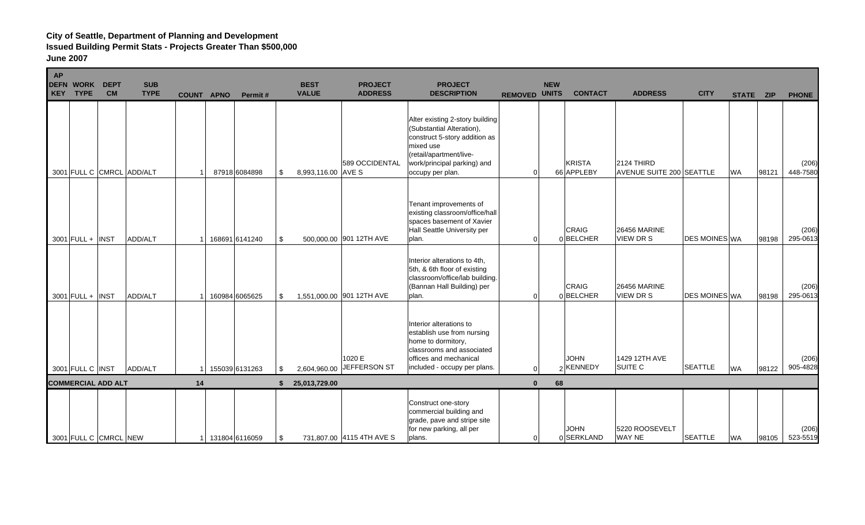| <b>AP</b><br><b>DEFN</b><br><b>KEY</b> | <b>WORK</b><br><b>TYPE</b> | <b>DEPT</b><br><b>CM</b> | <b>SUB</b><br><b>TYPE</b> | <b>COUNT APNO</b> | Permit#          |     | <b>BEST</b><br><b>VALUE</b> | <b>PROJECT</b><br><b>ADDRESS</b> | <b>PROJECT</b><br><b>DESCRIPTION</b>                                                                                                                                                     | <b>REMOVED UNITS</b> | <b>NEW</b> | <b>CONTACT</b>              | <b>ADDRESS</b>                                | <b>CITY</b>          | STATE ZIP |       | <b>PHONE</b>      |
|----------------------------------------|----------------------------|--------------------------|---------------------------|-------------------|------------------|-----|-----------------------------|----------------------------------|------------------------------------------------------------------------------------------------------------------------------------------------------------------------------------------|----------------------|------------|-----------------------------|-----------------------------------------------|----------------------|-----------|-------|-------------------|
|                                        |                            |                          | 3001 FULL C CMRCL ADD/ALT |                   | 87918 6084898    | \$  | 8,993,116.00 AVE S          | 589 OCCIDENTAL                   | Alter existing 2-story building<br>(Substantial Alteration),<br>construct 5-story addition as<br>mixed use<br>(retail/apartment/live-<br>work/principal parking) and<br>occupy per plan. | $\overline{0}$       |            | <b>KRISTA</b><br>66 APPLEBY | 2124 THIRD<br><b>AVENUE SUITE 200 SEATTLE</b> |                      | <b>WA</b> | 98121 | (206)<br>448-7580 |
|                                        | $3001$ FULL + INST         |                          | ADD/ALT                   |                   | 168691 6141240   | \$  |                             | 500,000.00 901 12TH AVE          | Tenant improvements of<br>existing classroom/office/hall<br>spaces basement of Xavier<br>Hall Seattle University per<br>plan.                                                            | $\Omega$             |            | <b>CRAIG</b><br>0BELCHER    | <b>26456 MARINE</b><br>VIEW DR S              | <b>DES MOINES WA</b> |           | 98198 | (206)<br>295-0613 |
|                                        | $3001$ FULL + INST         |                          | ADD/ALT                   |                   | 160984 6065625   | \$  |                             | 1,551,000.00 901 12TH AVE        | Interior alterations to 4th,<br>5th, & 6th floor of existing<br>classroom/office/lab building.<br>(Bannan Hall Building) per<br>plan.                                                    | $\Omega$             |            | <b>CRAIG</b><br>0 BELCHER   | <b>26456 MARINE</b><br><b>VIEW DR S</b>       | <b>DES MOINES WA</b> |           | 98198 | (206)<br>295-0613 |
|                                        | 3001 FULL C INST           |                          | ADD/ALT                   |                   | 155039 6131263   | -\$ | 2,604,960.00                | 1020 E<br>JEFFERSON ST           | Interior alterations to<br>establish use from nursing<br>home to dormitory,<br>classrooms and associated<br>offices and mechanical<br>included - occupy per plans.                       | $\Omega$             |            | <b>JOHN</b><br>2 KENNEDY    | 1429 12TH AVE<br><b>SUITE C</b>               | <b>SEATTLE</b>       | <b>WA</b> | 98122 | (206)<br>905-4828 |
|                                        | <b>COMMERCIAL ADD ALT</b>  |                          |                           | 14                |                  |     | 25,013,729.00               |                                  |                                                                                                                                                                                          | $\mathbf{0}$         | 68         |                             |                                               |                      |           |       |                   |
|                                        | 3001 FULL C CMRCL NEW      |                          |                           |                   | 1 131804 6116059 | -\$ |                             | 731,807.00 4115 4TH AVE S        | Construct one-story<br>commercial building and<br>grade, pave and stripe site<br>for new parking, all per<br>plans.                                                                      | $\overline{0}$       |            | <b>JOHN</b><br>0 SERKLAND   | 5220 ROOSEVELT<br>WAY NE                      | <b>SEATTLE</b>       | <b>WA</b> | 98105 | (206)<br>523-5519 |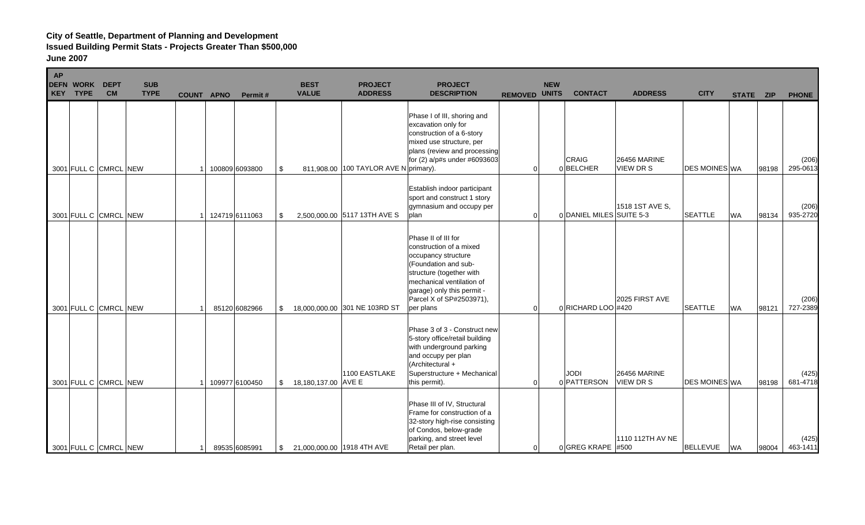| <b>AP</b><br><b>DEFN</b><br><b>WORK</b><br><b>KEY</b><br><b>TYPE</b> | <b>DEPT</b><br><b>CM</b> | <b>SUB</b><br><b>TYPE</b> | <b>COUNT APNO</b> | Permit#        | <b>BEST</b><br><b>VALUE</b>      | <b>PROJECT</b><br><b>ADDRESS</b>      | <b>PROJECT</b><br><b>DESCRIPTION</b>                                                                                                                                                                                          | <b>REMOVED UNITS</b> | <b>NEW</b> | <b>CONTACT</b>           | <b>ADDRESS</b>                          | <b>CITY</b>          | STATE ZIP |       | <b>PHONE</b>      |
|----------------------------------------------------------------------|--------------------------|---------------------------|-------------------|----------------|----------------------------------|---------------------------------------|-------------------------------------------------------------------------------------------------------------------------------------------------------------------------------------------------------------------------------|----------------------|------------|--------------------------|-----------------------------------------|----------------------|-----------|-------|-------------------|
| 3001 FULL C CMRCL NEW                                                |                          |                           |                   | 100809 6093800 | \$                               | 811,908.00 100 TAYLOR AVE N primary). | Phase I of III, shoring and<br>excavation only for<br>construction of a 6-story<br>mixed use structure, per<br>plans (review and processing<br>for (2) a/p#s under #6093603                                                   | $\Omega$             |            | <b>CRAIG</b><br>0BELCHER | <b>26456 MARINE</b><br>VIEW DR S        | <b>DES MOINES WA</b> |           | 98198 | (206)<br>295-0613 |
| 3001 FULL C CMRCL NEW                                                |                          |                           |                   | 124719 6111063 | \$                               | 2,500,000.00 5117 13TH AVE S          | Establish indoor participant<br>sport and construct 1 story<br>gymnasium and occupy per<br>plan                                                                                                                               | $\Omega$             |            | 0 DANIEL MILES SUITE 5-3 | 1518 1ST AVE S,                         | <b>SEATTLE</b>       | WA        | 98134 | (206)<br>935-2720 |
| 3001 FULL C CMRCL NEW                                                |                          |                           |                   | 85120 6082966  | \$                               | 18,000,000.00 301 NE 103RD ST         | Phase II of III for<br>construction of a mixed<br>occupancy structure<br>(Foundation and sub-<br>structure (together with<br>mechanical ventilation of<br>garage) only this permit -<br>Parcel X of SP#2503971),<br>per plans | $\Omega$             |            | 0 RICHARD LOO #420       | 2025 FIRST AVE                          | <b>SEATTLE</b>       | <b>WA</b> | 98121 | (206)<br>727-2389 |
| 3001 FULL C CMRCL NEW                                                |                          |                           |                   | 109977 6100450 | \$<br>18,180,137.00 AVE E        | 1100 EASTLAKE                         | Phase 3 of 3 - Construct new<br>5-story office/retail building<br>with underground parking<br>and occupy per plan<br>(Architectural +<br>Superstructure + Mechanical<br>this permit).                                         | $\Omega$             |            | JODI<br>0 PATTERSON      | <b>26456 MARINE</b><br><b>VIEW DR S</b> | <b>DES MOINES WA</b> |           | 98198 | (425)<br>681-4718 |
| 3001 FULL C CMRCL NEW                                                |                          |                           |                   | 89535 6085991  | \$<br>21,000,000.00 1918 4TH AVE |                                       | Phase III of IV, Structural<br>Frame for construction of a<br>32-story high-rise consisting<br>of Condos, below-grade<br>parking, and street level<br>Retail per plan.                                                        | $\overline{0}$       |            | $0$ GREG KRAPE #500      | 1110 112TH AV NE                        | <b>BELLEVUE</b>      | <b>WA</b> | 98004 | (425)<br>463-1411 |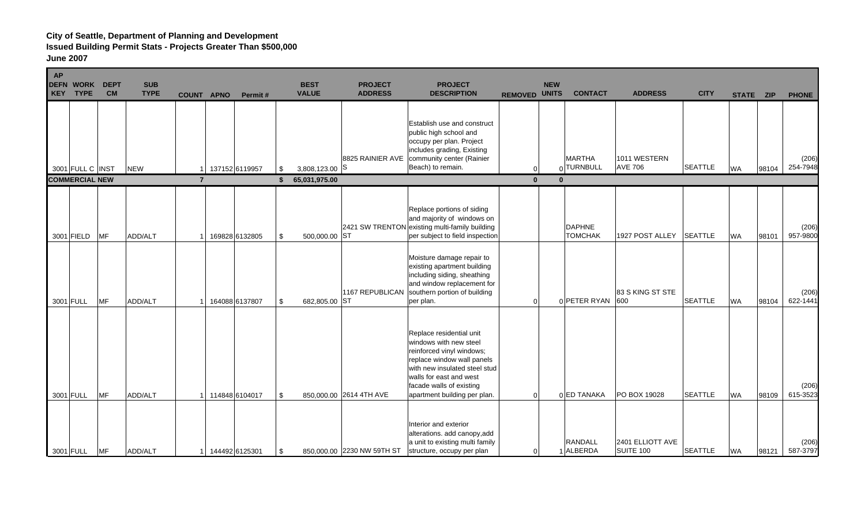| <b>AP</b><br><b>DEFN</b><br><b>KEY</b> | <b>WORK</b><br><b>TYPE</b>                | <b>DEPT</b><br><b>CM</b> | <b>SUB</b><br><b>TYPE</b> | <b>COUNT APNO</b> | Permit#        |          | <b>BEST</b><br><b>VALUE</b>     | <b>PROJECT</b><br><b>ADDRESS</b> | <b>PROJECT</b><br><b>DESCRIPTION</b>                                                                                                                                                                                                  |                          | <b>NEW</b><br><b>REMOVED UNITS</b> | <b>CONTACT</b>                  | <b>ADDRESS</b>                       | <b>CITY</b>    | STATE ZIP |       | <b>PHONE</b>      |
|----------------------------------------|-------------------------------------------|--------------------------|---------------------------|-------------------|----------------|----------|---------------------------------|----------------------------------|---------------------------------------------------------------------------------------------------------------------------------------------------------------------------------------------------------------------------------------|--------------------------|------------------------------------|---------------------------------|--------------------------------------|----------------|-----------|-------|-------------------|
|                                        | 3001 FULL C INST<br><b>COMMERCIAL NEW</b> |                          | <b>NEW</b>                | $\overline{7}$    | 137152 6119957 | \$<br>\$ | 3,808,123.00 S<br>65,031,975.00 | 8825 RAINIER AVE                 | <b>Establish use and construct</b><br>public high school and<br>occupy per plan. Project<br>includes grading, Existing<br>community center (Rainier<br>Beach) to remain.                                                              | $\Omega$<br>$\mathbf{0}$ |                                    | <b>MARTHA</b><br>0TURNBULL      | 1011 WESTERN<br><b>AVE 706</b>       | <b>SEATTLE</b> | <b>WA</b> | 98104 | (206)<br>254-7948 |
|                                        |                                           |                          |                           |                   |                |          |                                 |                                  |                                                                                                                                                                                                                                       |                          |                                    |                                 |                                      |                |           |       |                   |
|                                        | 3001 FIELD                                | <b>MF</b>                | ADD/ALT                   |                   | 169828 6132805 | \$       | 500,000.00 ST                   |                                  | Replace portions of siding<br>and majority of windows on<br>2421 SW TRENTON existing multi-family building<br>per subject to field inspection                                                                                         |                          |                                    | <b>DAPHNE</b><br><b>TOMCHAK</b> | 1927 POST ALLEY                      | <b>SEATTLE</b> | <b>WA</b> | 98101 | (206)<br>957-9800 |
| 3001 FULL                              |                                           | MF                       | ADD/ALT                   |                   | 164088 6137807 | \$       | 682,805.00 ST                   | 1167 REPUBLICAN                  | Moisture damage repair to<br>existing apartment building<br>including siding, sheathing<br>and window replacement for<br>southern portion of building<br>per plan.                                                                    | $\overline{0}$           |                                    | 0 PETER RYAN                    | 83 S KING ST STE<br>600              | <b>SEATTLE</b> | <b>WA</b> | 98104 | (206)<br>622-1441 |
| 3001 FULL                              |                                           | <b>MF</b>                | ADD/ALT                   |                   | 114848 6104017 | \$       |                                 | 850,000.00 2614 4TH AVE          | Replace residential unit<br>windows with new steel<br>reinforced vinyl windows;<br>replace window wall panels<br>with new insulated steel stud<br>walls for east and west<br>facade walls of existing<br>apartment building per plan. | $\Omega$                 |                                    | 0 ED TANAKA                     | PO BOX 19028                         | <b>SEATTLE</b> | <b>WA</b> | 98109 | (206)<br>615-3523 |
| 3001 FULL                              |                                           | MF                       | <b>ADD/ALT</b>            |                   | 144492 6125301 | -\$      |                                 | 850,000.00 2230 NW 59TH ST       | Interior and exterior<br>alterations. add canopy, add<br>a unit to existing multi family<br>structure, occupy per plan                                                                                                                | $\overline{0}$           |                                    | RANDALL<br>1 ALBERDA            | 2401 ELLIOTT AVE<br><b>SUITE 100</b> | <b>SEATTLE</b> | <b>WA</b> | 98121 | (206)<br>587-3797 |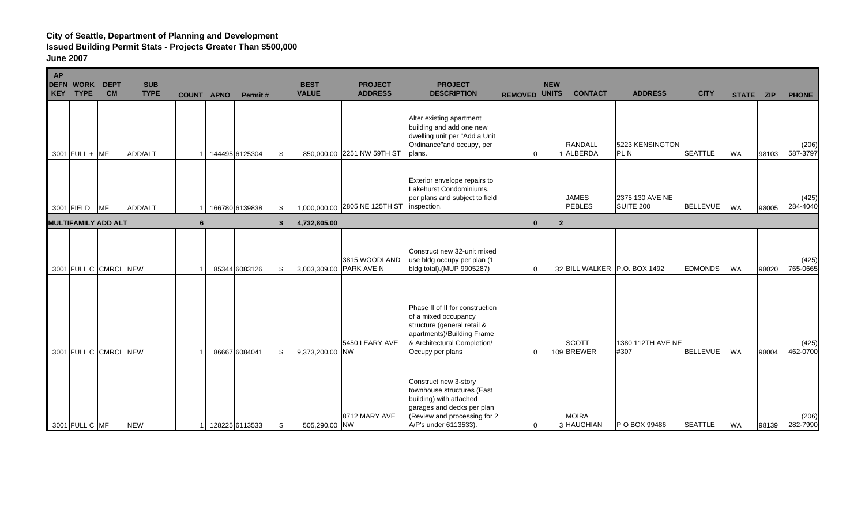| <b>AP</b><br><b>DEFN</b><br><b>WORK</b><br><b>TYPE</b><br><b>KEY</b> | <b>DEPT</b><br><b>CM</b> | <b>SUB</b><br><b>TYPE</b> | <b>COUNT APNO</b> | Permit#        | <b>BEST</b><br><b>VALUE</b> | <b>PROJECT</b><br><b>ADDRESS</b>   | <b>PROJECT</b><br><b>DESCRIPTION</b>                                                                                                                                    | <b>REMOVED UNITS</b> | <b>NEW</b>     | <b>CONTACT</b>                | <b>ADDRESS</b>                      | <b>CITY</b>     | STATE ZIP |       | <b>PHONE</b>      |
|----------------------------------------------------------------------|--------------------------|---------------------------|-------------------|----------------|-----------------------------|------------------------------------|-------------------------------------------------------------------------------------------------------------------------------------------------------------------------|----------------------|----------------|-------------------------------|-------------------------------------|-----------------|-----------|-------|-------------------|
| $3001$ FULL + MF                                                     |                          | ADD/ALT                   |                   | 144495 6125304 | \$                          | 850,000.00 2251 NW 59TH ST         | Alter existing apartment<br>building and add one new<br>dwelling unit per "Add a Unit<br>Ordinance"and occupy, per<br>plans.                                            | 0                    |                | <b>RANDALL</b><br>1 ALBERDA   | 5223 KENSINGTON<br><b>PLN</b>       | <b>SEATTLE</b>  | <b>WA</b> | 98103 | (206)<br>587-3797 |
| 3001 FIELD MF                                                        |                          | ADD/ALT                   |                   | 166780 6139838 | \$                          | 1,000,000.00 2805 NE 125TH ST      | Exterior envelope repairs to<br>Lakehurst Condominiums,<br>per plans and subject to field<br>inspection.                                                                |                      |                | <b>JAMES</b><br><b>PEBLES</b> | 2375 130 AVE NE<br><b>SUITE 200</b> | <b>BELLEVUE</b> | <b>WA</b> | 98005 | (425)<br>284-4040 |
| <b>MULTIFAMILY ADD ALT</b>                                           |                          |                           | 6                 |                | 4,732,805.00                |                                    |                                                                                                                                                                         | $\mathbf{0}$         | $\overline{2}$ |                               |                                     |                 |           |       |                   |
| 3001 FULL C CMRCL NEW                                                |                          |                           |                   | 85344 6083126  | \$<br>3,003,309.00          | 3815 WOODLAND<br><b>PARK AVE N</b> | Construct new 32-unit mixed<br>use bldg occupy per plan (1<br>bldg total).(MUP 9905287)                                                                                 | $\Omega$             |                |                               | 32 BILL WALKER P.O. BOX 1492        | <b>EDMONDS</b>  | <b>WA</b> | 98020 | (425)<br>765-0665 |
| 3001 FULL C CMRCL NEW                                                |                          |                           |                   | 86667 6084041  | \$<br>9,373,200.00          | 5450 LEARY AVE<br><b>NW</b>        | Phase II of II for construction<br>of a mixed occupancy<br>structure (general retail &<br>apartments)/Building Frame<br>& Architectural Completion/<br>Occupy per plans | $\Omega$             |                | <b>SCOTT</b><br>109 BREWER    | 1380 112TH AVE NE<br>#307           | <b>BELLEVUE</b> | <b>WA</b> | 98004 | (425)<br>462-0700 |
| 3001 FULL C MF                                                       |                          | <b>NEW</b>                |                   | 128225 6113533 | \$<br>505,290.00 NW         | 8712 MARY AVE                      | Construct new 3-story<br>townhouse structures (East<br>building) with attached<br>garages and decks per plan<br>(Review and processing for 2<br>A/P's under 6113533).   | $\Omega$             |                | <b>MOIRA</b><br>3 HAUGHIAN    | P O BOX 99486                       | <b>SEATTLE</b>  | <b>WA</b> | 98139 | (206)<br>282-7990 |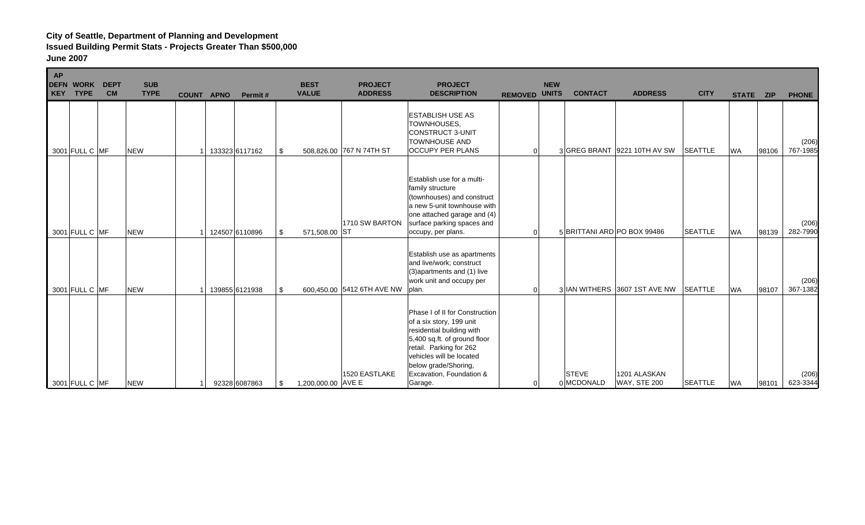| <b>AP</b><br>KEY | <b>DEFN WORK</b><br><b>TYPE</b> | <b>DEPT</b><br><b>CM</b> | <b>SUB</b><br><b>TYPE</b> | <b>COUNT APNO</b> | Permit#        |      | <b>BEST</b><br><b>VALUE</b> | <b>PROJECT</b><br><b>ADDRESS</b> | <b>PROJECT</b><br><b>DESCRIPTION</b>                                                                                                                                                                                                          | <b>REMOVED UNITS</b> | <b>NEW</b> | <b>CONTACT</b>             | <b>ADDRESS</b>                      | <b>CITY</b>    | STATE ZIP |       | <b>PHONE</b>      |
|------------------|---------------------------------|--------------------------|---------------------------|-------------------|----------------|------|-----------------------------|----------------------------------|-----------------------------------------------------------------------------------------------------------------------------------------------------------------------------------------------------------------------------------------------|----------------------|------------|----------------------------|-------------------------------------|----------------|-----------|-------|-------------------|
|                  | 3001 FULL C MF                  |                          | <b>NEW</b>                |                   | 133323 6117162 | \$   |                             | 508,826.00 767 N 74TH ST         | <b>ESTABLISH USE AS</b><br>TOWNHOUSES,<br>CONSTRUCT 3-UNIT<br><b>TOWNHOUSE AND</b><br><b>OCCUPY PER PLANS</b>                                                                                                                                 | $\Omega$             |            |                            | 3 GREG BRANT 9221 10TH AV SW        | <b>SEATTLE</b> | <b>WA</b> | 98106 | (206)<br>767-1985 |
|                  | 3001 FULL C MF                  |                          | <b>NEW</b>                |                   | 124507 6110896 | -\$  | 571,508.00                  | 1710 SW BARTON<br><b>ST</b>      | Establish use for a multi-<br>family structure<br>(townhouses) and construct<br>a new 5-unit townhouse with<br>one attached garage and (4)<br>surface parking spaces and<br>occupy, per plans.                                                | $\Omega$             |            |                            | 5 BRITTANI ARD PO BOX 99486         | <b>SEATTLE</b> | <b>WA</b> | 98139 | (206)<br>282-7990 |
|                  | 3001 FULL C MF                  |                          | <b>NEW</b>                |                   | 139855 6121938 | -\$  |                             | 600,450.00 5412 6TH AVE NW plan. | Establish use as apartments<br>and live/work; construct<br>(3) apartments and (1) live<br>work unit and occupy per                                                                                                                            | $\Omega$             |            |                            | 3 IAN WITHERS 3607 1ST AVE NW       | <b>SEATTLE</b> | <b>WA</b> | 98107 | (206)<br>367-1382 |
|                  | 3001 FULL C MF                  |                          | <b>NEW</b>                |                   | 92328 6087863  | - \$ | 1,200,000.00 AVE E          | 1520 EASTLAKE                    | Phase I of II for Construction<br>of a six story, 199 unit<br>residential building with<br>5,400 sq.ft. of ground floor<br>retail. Parking for 262<br>vehicles will be located<br>below grade/Shoring,<br>Excavation, Foundation &<br>Garage. | 0                    |            | <b>STEVE</b><br>0 MCDONALD | 1201 ALASKAN<br><b>WAY, STE 200</b> | <b>SEATTLE</b> | <b>WA</b> | 98101 | (206)<br>623-3344 |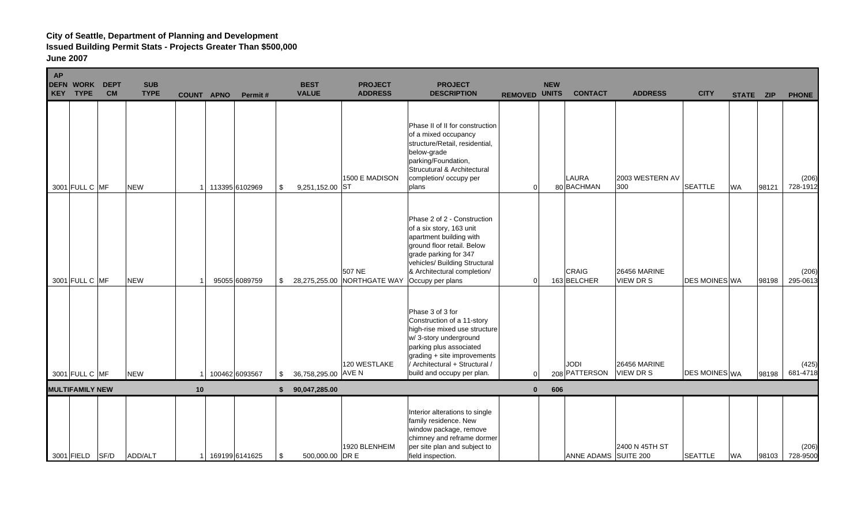| <b>AP</b><br><b>DEFN</b><br><b>KEY</b> | <b>WORK</b><br><b>TYPE</b> | <b>DEPT</b><br><b>CM</b> | <b>SUB</b><br><b>TYPE</b> | COUNT APNO | Permit#        |     | <b>BEST</b><br><b>VALUE</b> | <b>PROJECT</b><br><b>ADDRESS</b> | <b>PROJECT</b><br><b>DESCRIPTION</b>                                                                                                                                                                                               | <b>REMOVED UNITS</b> |                | <b>NEW</b> | <b>CONTACT</b>              | <b>ADDRESS</b>                   | <b>CITY</b>          | STATE ZIP |       | <b>PHONE</b>      |
|----------------------------------------|----------------------------|--------------------------|---------------------------|------------|----------------|-----|-----------------------------|----------------------------------|------------------------------------------------------------------------------------------------------------------------------------------------------------------------------------------------------------------------------------|----------------------|----------------|------------|-----------------------------|----------------------------------|----------------------|-----------|-------|-------------------|
|                                        | 3001 FULL C MF             |                          | <b>NEW</b>                |            | 113395 6102969 | \$  | 9,251,152.00 ST             | 1500 E MADISON                   | Phase II of II for construction<br>of a mixed occupancy<br>structure/Retail, residential,<br>below-grade<br>parking/Foundation,<br>Strucutural & Architectural<br>completion/ occupy per<br>plans                                  |                      | $\overline{0}$ |            | <b>LAURA</b><br>80 BACHMAN  | 2003 WESTERN AV<br>300           | <b>SEATTLE</b>       | <b>WA</b> | 98121 | (206)<br>728-1912 |
|                                        | 3001 FULL C MF             |                          | <b>NEW</b>                |            | 95055 6089759  | \$  | 28,275,255.00               | 507 NE<br>NORTHGATE WAY          | Phase 2 of 2 - Construction<br>of a six story, 163 unit<br>apartment building with<br>ground floor retail. Below<br>grade parking for 347<br>vehicles/ Building Structural<br>& Architectural completion/<br>Occupy per plans      |                      | $\Omega$       |            | <b>CRAIG</b><br>163 BELCHER | <b>26456 MARINE</b><br>VIEW DR S | DES MOINES WA        |           | 98198 | (206)<br>295-0613 |
|                                        | 3001 FULL C MF             |                          | <b>NEW</b>                |            | 100462 6093567 | \$  | 36,758,295.00 AVE N         | 120 WESTLAKE                     | Phase 3 of 3 for<br>Construction of a 11-story<br>high-rise mixed use structure<br>w/3-story underground<br>parking plus associated<br>grading + site improvements<br>/ Architectural + Structural /<br>build and occupy per plan. |                      | $\Omega$       |            | JODI<br>208 PATTERSON       | <b>26456 MARINE</b><br>VIEW DR S | <b>DES MOINES WA</b> |           | 98198 | (425)<br>681-4718 |
|                                        | <b>MULTIFAMILY NEW</b>     |                          |                           | 10         |                | \$. | 90,047,285.00               |                                  |                                                                                                                                                                                                                                    |                      | $\mathbf{0}$   | 606        |                             |                                  |                      |           |       |                   |
|                                        | 3001 FIELD SF/D            |                          | ADD/ALT                   |            | 169199 6141625 | \$  | 500,000.00 DR E             | 1920 BLENHEIM                    | Interior alterations to single<br>family residence. New<br>window package, remove<br>chimney and reframe dormer<br>per site plan and subject to<br>field inspection.                                                               |                      |                |            | ANNE ADAMS SUITE 200        | 2400 N 45TH ST                   | <b>SEATTLE</b>       | <b>WA</b> | 98103 | (206)<br>728-9500 |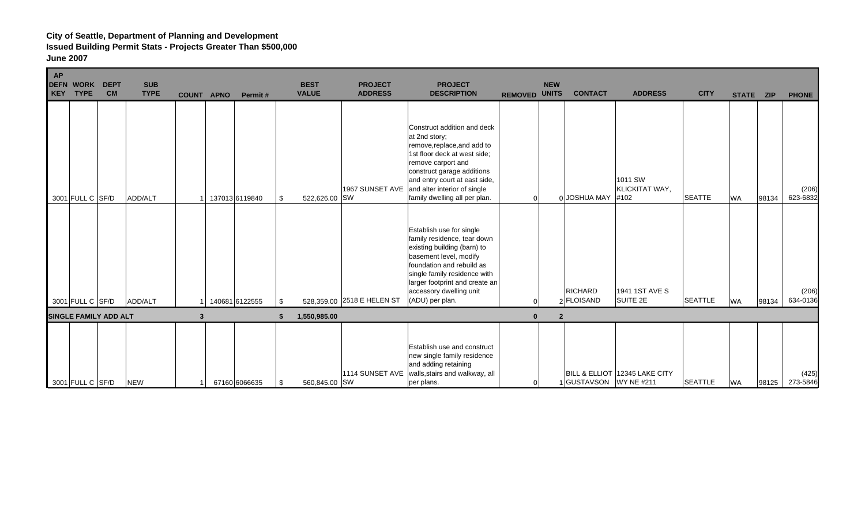| AP<br><b>DEFN WORK</b><br><b>TYPE</b><br><b>KEY</b> | <b>DEPT</b><br><b>CM</b> | <b>SUB</b><br><b>TYPE</b> | COUNT APNO | Permit#        | <b>BEST</b><br><b>VALUE</b> | <b>PROJECT</b><br><b>ADDRESS</b> | <b>PROJECT</b><br><b>DESCRIPTION</b>                                                                                                                                                                                                                                              | <b>REMOVED UNITS</b> | <b>NEW</b>     | <b>CONTACT</b>               | <b>ADDRESS</b>                    | <b>CITY</b>    | STATE ZIP |       | <b>PHONE</b>      |
|-----------------------------------------------------|--------------------------|---------------------------|------------|----------------|-----------------------------|----------------------------------|-----------------------------------------------------------------------------------------------------------------------------------------------------------------------------------------------------------------------------------------------------------------------------------|----------------------|----------------|------------------------------|-----------------------------------|----------------|-----------|-------|-------------------|
| 3001 FULL C SF/D                                    |                          | ADD/ALT                   |            | 137013 6119840 | 522,626.00 SW<br>\$         |                                  | Construct addition and deck<br>at 2nd story;<br>remove, replace, and add to<br>1st floor deck at west side;<br>remove carport and<br>construct garage additions<br>and entry court at east side,<br>1967 SUNSET AVE and alter interior of single<br>family dwelling all per plan. | $\Omega$             |                | 0 JOSHUA MAY                 | 1011 SW<br>KLICKITAT WAY,<br>#102 | <b>SEATTE</b>  | <b>WA</b> | 98134 | (206)<br>623-6832 |
| 3001 FULL C SF/D                                    |                          | ADD/ALT                   |            | 140681 6122555 | \$                          | 528,359.00 2518 E HELEN ST       | Establish use for single<br>family residence, tear down<br>existing building (barn) to<br>basement level, modify<br>foundation and rebuild as<br>single family residence with<br>larger footprint and create an<br>accessory dwelling unit<br>(ADU) per plan.                     |                      |                | <b>RICHARD</b><br>2 FLOISAND | 1941 1ST AVE S<br>SUITE 2E        | <b>SEATTLE</b> | <b>WA</b> | 98134 | (206)<br>634-0136 |
| <b>SINGLE FAMILY ADD ALT</b>                        |                          |                           | 3          |                | 1,550,985.00                |                                  |                                                                                                                                                                                                                                                                                   | $\bf{0}$             | $\overline{2}$ |                              |                                   |                |           |       |                   |
| 3001 FULL C SF/D                                    |                          | <b>NEW</b>                |            | 67160 6066635  | 560,845.00 SW<br>\$         | 1114 SUNSET AVE                  | <b>Establish use and construct</b><br>new single family residence<br>and adding retaining<br>walls, stairs and walkway, all<br>per plans.                                                                                                                                         | $\overline{0}$       |                | 1 GUSTAVSON WY NE #211       | BILL & ELLIOT 12345 LAKE CITY     | <b>SEATTLE</b> | <b>WA</b> | 98125 | (425)<br>273-5846 |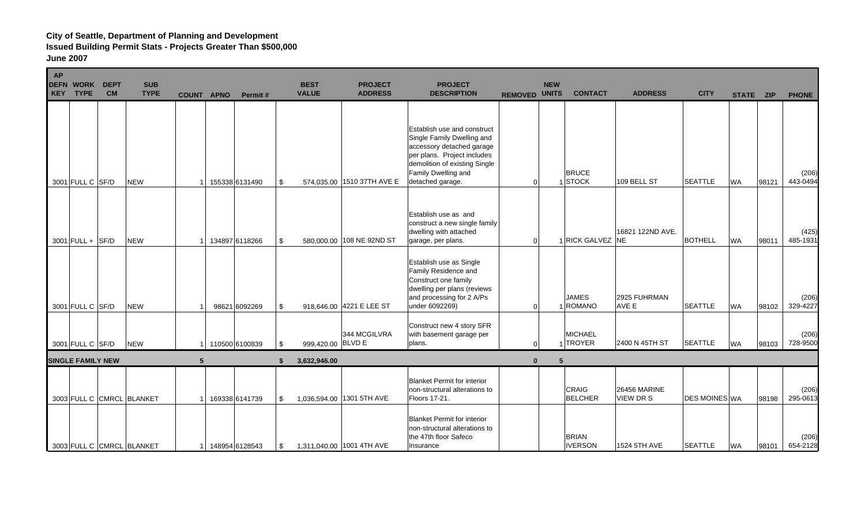| <b>AP</b><br>KEY | <b>DEFN WORK</b><br><b>TYPE</b> | <b>DEPT</b><br><b>CM</b> | <b>SUB</b><br><b>TYPE</b> | <b>COUNT APNO</b> | Permit#         |     | <b>BEST</b><br><b>VALUE</b> | <b>PROJECT</b><br><b>ADDRESS</b> | <b>PROJECT</b><br><b>DESCRIPTION</b>                                                                                                                                                              | <b>REMOVED UNITS</b> | <b>NEW</b> | <b>CONTACT</b>                 | <b>ADDRESS</b>                   | <b>CITY</b>          | STATE ZIP |       | <b>PHONE</b>      |
|------------------|---------------------------------|--------------------------|---------------------------|-------------------|-----------------|-----|-----------------------------|----------------------------------|---------------------------------------------------------------------------------------------------------------------------------------------------------------------------------------------------|----------------------|------------|--------------------------------|----------------------------------|----------------------|-----------|-------|-------------------|
|                  | 3001 FULL C SF/D                |                          | <b>NEW</b>                |                   | 155338 6131490  | -\$ |                             | 574,035.00 1510 37TH AVE E       | Establish use and construct<br>Single Family Dwelling and<br>accessory detached garage<br>per plans. Project includes<br>demolition of existing Single<br>Family Dwelling and<br>detached garage. | $\Omega$             |            | <b>BRUCE</b><br>1STOCK         | 109 BELL ST                      | <b>SEATTLE</b>       | <b>WA</b> | 98121 | (206)<br>443-0494 |
|                  | $3001$ FULL + SF/D              |                          | <b>NEW</b>                |                   | 134897 6118266  | \$  |                             | 580,000.00 108 NE 92ND ST        | Establish use as and<br>construct a new single family<br>dwelling with attached<br>garage, per plans.                                                                                             | $\Omega$             |            | 1 RICK GALVEZ NE               | 16821 122ND AVE.                 | <b>BOTHELL</b>       | <b>WA</b> | 98011 | (425)<br>485-1931 |
|                  | 3001 FULL C SF/D                |                          | <b>NEW</b>                |                   | 98621 6092269   | -\$ |                             | 918,646.00 4221 E LEE ST         | Establish use as Single<br>Family Residence and<br>Construct one family<br>dwelling per plans (reviews<br>and processing for 2 A/Ps<br>under 6092269)                                             | $\Omega$             |            | <b>JAMES</b><br>1 ROMANO       | 2925 FUHRMAN<br>AVE E            | <b>SEATTLE</b>       | <b>WA</b> | 98102 | (206)<br>329-4227 |
|                  | 3001 FULL C SF/D                |                          | <b>NEW</b>                |                   | 1 10500 6100839 | -\$ | 999,420.00 BLVD E           | 344 MCGILVRA                     | Construct new 4 story SFR<br>with basement garage per<br>plans.                                                                                                                                   | $\Omega$             |            | <b>MICHAEL</b><br>TROYER       | 2400 N 45TH ST                   | <b>SEATTLE</b>       | <b>WA</b> | 98103 | (206)<br>728-9500 |
|                  | <b>SINGLE FAMILY NEW</b>        |                          |                           | 5                 |                 |     | 3,632,946.00                |                                  |                                                                                                                                                                                                   | $\Omega$             |            |                                |                                  |                      |           |       |                   |
|                  |                                 |                          | 3003 FULL C CMRCL BLANKET |                   | 169338 6141739  | \$  |                             | 1,036,594.00 1301 5TH AVE        | <b>Blanket Permit for interior</b><br>non-structural alterations to<br>Floors 17-21.                                                                                                              |                      |            | CRAIG<br><b>BELCHER</b>        | <b>26456 MARINE</b><br>VIEW DR S | <b>DES MOINES WA</b> |           | 98198 | (206)<br>295-0613 |
|                  |                                 |                          | 3003 FULL C CMRCL BLANKET |                   | 148954 6128543  | \$  |                             | 1,311,040.00 1001 4TH AVE        | <b>Blanket Permit for interior</b><br>non-structural alterations to<br>the 47th floor Safeco<br>Insurance                                                                                         |                      |            | <b>BRIAN</b><br><b>IVERSON</b> | 1524 5TH AVE                     | <b>SEATTLE</b>       | <b>WA</b> | 98101 | (206)<br>654-2128 |